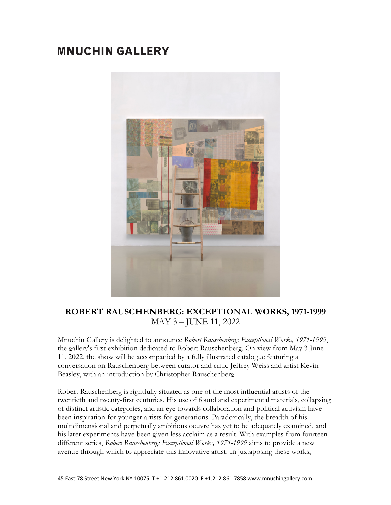## **MNUCHIN GALLERY**



## **ROBERT RAUSCHENBERG: EXCEPTIONAL WORKS, 1971-1999** MAY 3 – JUNE 11, 2022

Mnuchin Gallery is delighted to announce *Robert Rauschenberg: Exceptional Works, 1971-1999*, the gallery's first exhibition dedicated to Robert Rauschenberg. On view from May 3-June 11, 2022, the show will be accompanied by a fully illustrated catalogue featuring a conversation on Rauschenberg between curator and critic Jeffrey Weiss and artist Kevin Beasley, with an introduction by Christopher Rauschenberg.

Robert Rauschenberg is rightfully situated as one of the most influential artists of the twentieth and twenty-first centuries. His use of found and experimental materials, collapsing of distinct artistic categories, and an eye towards collaboration and political activism have been inspiration for younger artists for generations. Paradoxically, the breadth of his multidimensional and perpetually ambitious oeuvre has yet to be adequately examined, and his later experiments have been given less acclaim as a result. With examples from fourteen different series, *Robert Rauschenberg: Exceptional Works, 1971-1999* aims to provide a new avenue through which to appreciate this innovative artist. In juxtaposing these works,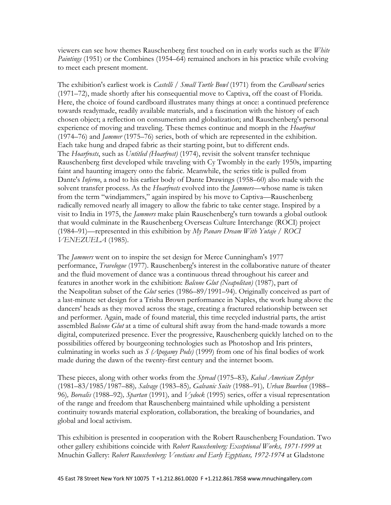viewers can see how themes Rauschenberg first touched on in early works such as the *White Paintings* (1951) or the Combines (1954–64) remained anchors in his practice while evolving to meet each present moment.

The exhibition's earliest work is *Castelli / Small Turtle Bowl* (1971) from the *Cardboard* series (1971–72), made shortly after his consequential move to Captiva, off the coast of Florida. Here, the choice of found cardboard illustrates many things at once: a continued preference towards readymade, readily available materials, and a fascination with the history of each chosen object; a reflection on consumerism and globalization; and Rauschenberg's personal experience of moving and traveling. These themes continue and morph in the *Hoarfrost* (1974–76) and *Jammer* (1975–76) series, both of which are represented in the exhibition. Each take hung and draped fabric as their starting point, but to different ends. The *Hoarfrosts*, such as *Untitled (Hoarfrost)* (1974), revisit the solvent transfer technique Rauschenberg first developed while traveling with Cy Twombly in the early 1950s, imparting faint and haunting imagery onto the fabric. Meanwhile, the series title is pulled from Dante's *Inferno*, a nod to his earlier body of Dante Drawings (1958–60) also made with the solvent transfer process. As the *Hoarfrosts* evolved into the *Jammers*—whose name is taken from the term "windjammers," again inspired by his move to Captiva—Rauschenberg radically removed nearly all imagery to allow the fabric to take center stage. Inspired by a visit to India in 1975, the *Jammers* make plain Rauschenberg's turn towards a global outlook that would culminate in the Rauschenberg Overseas Culture Interchange (ROCI) project (1984–91)—represented in this exhibition by *My Panare Dream With Yutaje / ROCI VENEZUELA* (1985).

The *Jammers* went on to inspire the set design for Merce Cunningham's 1977 performance, *Travelogue* (1977). Rauschenberg's interest in the collaborative nature of theater and the fluid movement of dance was a continuous thread throughout his career and features in another work in the exhibition: *Balcone Glut (Neapolitan)* (1987), part of the Neapolitan subset of the *Glut* series (1986–89/1991–94). Originally conceived as part of a last-minute set design for a Trisha Brown performance in Naples, the work hung above the dancers' heads as they moved across the stage, creating a fractured relationship between set and performer. Again, made of found material, this time recycled industrial parts, the artist assembled *Balcone Glut* at a time of cultural shift away from the hand-made towards a more digital, computerized presence. Ever the progressive, Rauschenberg quickly latched on to the possibilities offered by bourgeoning technologies such as Photoshop and Iris printers, culminating in works such as *S (Apogamy Pods)* (1999) from one of his final bodies of work made during the dawn of the twenty-first century and the internet boom.

These pieces, along with other works from the *Spread* (1975–83)*, Kabal American Zephyr* (1981–83/1985/1987–88)*, Salvage* (1983–85)*, Galvanic Suite* (1988–91)*, Urban Bourbon* (1988– 96)*, Borealis* (1988–92)*, Spartan* (1991)*,* and *Vydock* (1995) series, offer a visual representation of the range and freedom that Rauschenberg maintained while upholding a persistent continuity towards material exploration, collaboration, the breaking of boundaries, and global and local activism.

This exhibition is presented in cooperation with the Robert Rauschenberg Foundation. Two other gallery exhibitions coincide with *Robert Rauschenberg: Exceptional Works, 1971-1999* at Mnuchin Gallery: *Robert Rauschenberg: Venetians and Early Egyptians, 1972-1974* at Gladstone